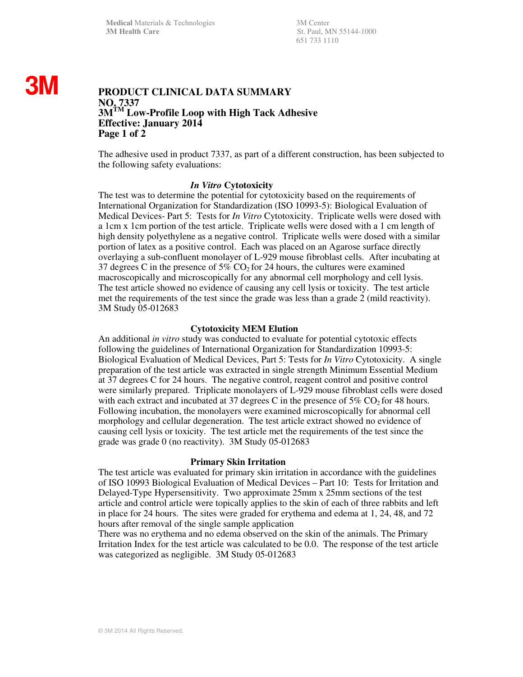**Medical Materials & Technologies** 3M Center **3M Health Care** St. Paul, MN 55144-1000

651 733 1110

# **3M**

# **PRODUCT CLINICAL DATA SUMMARY NO. 7337 3MTM Low-Profile Loop with High Tack Adhesive Effective: January 2014 Page 1 of 2**

The adhesive used in product 7337, as part of a different construction, has been subjected to the following safety evaluations:

### *In Vitro* **Cytotoxicity**

The test was to determine the potential for cytotoxicity based on the requirements of International Organization for Standardization (ISO 10993-5): Biological Evaluation of Medical Devices- Part 5: Tests for *In Vitro* Cytotoxicity. Triplicate wells were dosed with a 1cm x 1cm portion of the test article. Triplicate wells were dosed with a 1 cm length of high density polyethylene as a negative control. Triplicate wells were dosed with a similar portion of latex as a positive control. Each was placed on an Agarose surface directly overlaying a sub-confluent monolayer of L-929 mouse fibroblast cells. After incubating at 37 degrees C in the presence of 5%  $CO<sub>2</sub>$  for 24 hours, the cultures were examined macroscopically and microscopically for any abnormal cell morphology and cell lysis. The test article showed no evidence of causing any cell lysis or toxicity. The test article met the requirements of the test since the grade was less than a grade 2 (mild reactivity). 3M Study 05-012683

## **Cytotoxicity MEM Elution**

An additional *in vitro* study was conducted to evaluate for potential cytotoxic effects following the guidelines of International Organization for Standardization 10993-5: Biological Evaluation of Medical Devices, Part 5: Tests for *In Vitro* Cytotoxicity. A single preparation of the test article was extracted in single strength Minimum Essential Medium at 37 degrees C for 24 hours. The negative control, reagent control and positive control were similarly prepared. Triplicate monolayers of L-929 mouse fibroblast cells were dosed with each extract and incubated at 37 degrees C in the presence of  $5\%$  CO<sub>2</sub> for 48 hours. Following incubation, the monolayers were examined microscopically for abnormal cell morphology and cellular degeneration. The test article extract showed no evidence of causing cell lysis or toxicity. The test article met the requirements of the test since the grade was grade 0 (no reactivity). 3M Study 05-012683

#### **Primary Skin Irritation**

The test article was evaluated for primary skin irritation in accordance with the guidelines of ISO 10993 Biological Evaluation of Medical Devices – Part 10: Tests for Irritation and Delayed-Type Hypersensitivity. Two approximate 25mm x 25mm sections of the test article and control article were topically applies to the skin of each of three rabbits and left in place for 24 hours. The sites were graded for erythema and edema at 1, 24, 48, and 72 hours after removal of the single sample application

There was no erythema and no edema observed on the skin of the animals. The Primary Irritation Index for the test article was calculated to be 0.0. The response of the test article was categorized as negligible. 3M Study 05-012683